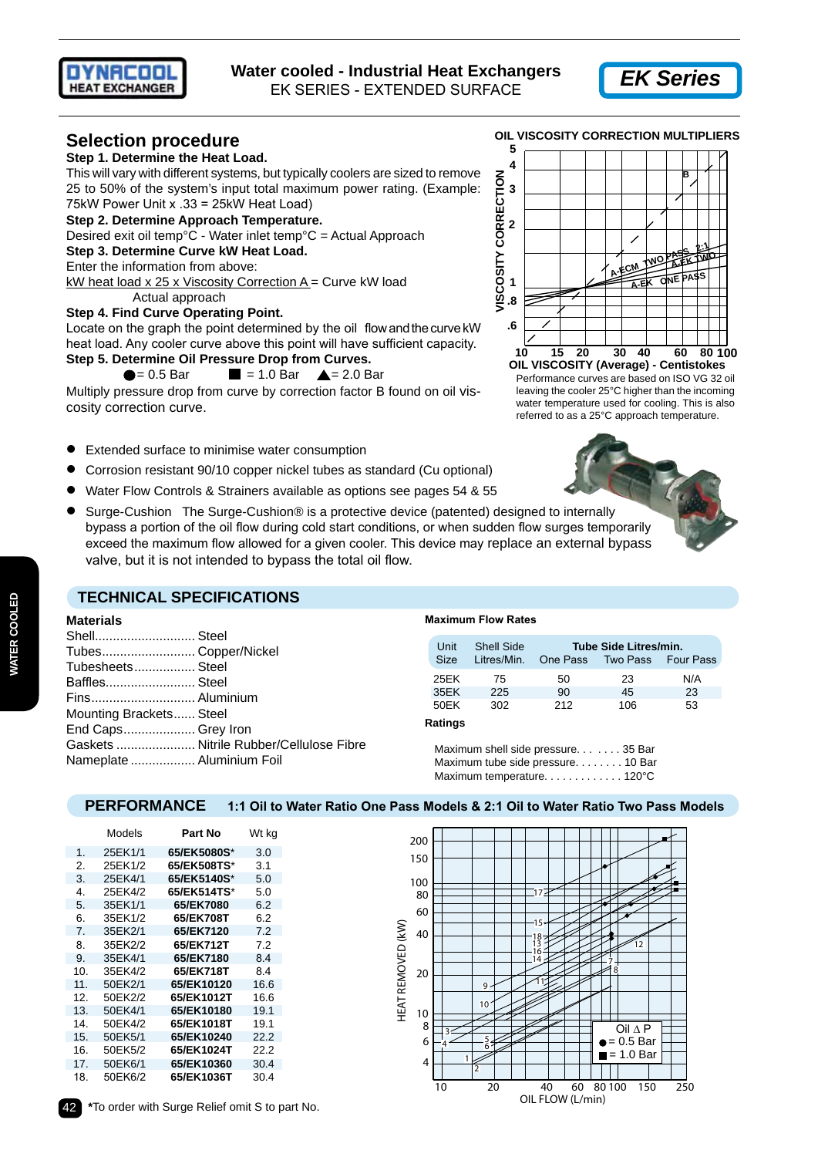



# **Selection procedure**

## **Step 1. Determine the Heat Load.**

This will vary with different systems, but typically coolers are sized to remove 25 to 50% of the system's input total maximum power rating. (Example: 75kW Power Unit x .33 = 25kW Heat Load)

#### **Step 2. Determine Approach Temperature.**

Desired exit oil temp°C - Water inlet temp°C = Actual Approach

#### **Step 3. Determine Curve kW Heat Load.**

Enter the information from above:

kW heat load x 25 x Viscosity Correction A = Curve kW load Actual approach

#### **Step 4. Find Curve Operating Point.**

Locate on the graph the point determined by the oil flow and the curve kW heat load. Any cooler curve above this point will have sufficient capacity. **Step 5. Determine Oil Pressure Drop from Curves.**

## $\bullet$  = 0.5 Bar  $\blacksquare$  = 1.0 Bar  $\blacktriangle$  = 2.0 Bar

Multiply pressure drop from curve by correction factor B found on oil viscosity correction curve.

- Extended surface to minimise water consumption
- Corrosion resistant 90/10 copper nickel tubes as standard (Cu optional)
- Water Flow Controls & Strainers available as options see pages 54 & 55
- Surge-Cushion The Surge-Cushion® is a protective device (patented) designed to internally bypass a portion of the oil flow during cold start conditions, or when sudden flow surges temporarily exceed the maximum flow allowed for a given cooler. This device may replace an external bypass valve, but it is not intended to bypass the total oil flow.

#### **5 4 VISCOSITY CORRECTION VISCOSITY CORRECTION B 3 2 A-ECM TWO PASS 2:1**<br>A-ECM TWO A-EK-13 **A-EK TWO A-EK ONE PASS 1 .8 .6 100 10 15 20 30 40 60 80 OIL VISCOSITY (Average) - Centistokes**

**OIL VISCOSITY CORRECTION MULTIPLIERS**

Performance curves are based on ISO VG 32 oil leaving the cooler 25°C higher than the incoming water temperature used for cooling. This is also referred to as a 25°C approach temperature.



## **TECHNICAL SPECIFICATIONS**

#### **Materials**

| Shell Steel<br>Tubes Copper/Nickel<br>Tubesheets Steel<br>Baffles Steel<br>Fins Aluminium<br>Mounting Brackets Steel<br>End Caps Grey Iron |                                         |
|--------------------------------------------------------------------------------------------------------------------------------------------|-----------------------------------------|
|                                                                                                                                            | Gaskets  Nitrile Rubber/Cellulose Fibre |
| Nameplate  Aluminium Foil                                                                                                                  |                                         |

#### **Maximum Flow Rates**

| Unit<br>Size | <b>Shell Side</b><br>Litres/Min. | Tube Side Litres/min.<br>One Pass<br>Two Pass Four Pass |     |     |  |
|--------------|----------------------------------|---------------------------------------------------------|-----|-----|--|
| 25FK         | 75                               | 50                                                      | 23  | N/A |  |
| 35EK         | 225                              | 90                                                      | 45  | 23  |  |
| 50FK         | 302                              | 212                                                     | 106 | 53  |  |

#### **Ratings**

Maximum shell side pressure. . . . . . . 35 Bar Maximum tube side pressure. . . . . . . . 10 Bar Maximum temperature. . . . . . . . . . . . 120°C

## **PERFORMANCE 1:1 Oil to Water Ratio One Pass Models & 2:1 Oil to Water Ratio Two Pass Models**

|     | Models  | Part No     | Wt kg |
|-----|---------|-------------|-------|
| 1.  | 25EK1/1 | 65/EK5080S* | 3.0   |
| 2.  | 25EK1/2 | 65/EK508TS* | 3.1   |
| 3.  | 25EK4/1 | 65/EK5140S* | 5.0   |
| 4.  | 25EK4/2 | 65/EK514TS* | 5.0   |
| 5.  | 35EK1/1 | 65/EK7080   | 6.2   |
| 6.  | 35EK1/2 | 65/EK708T   | 6.2   |
| 7.  | 35EK2/1 | 65/EK7120   | 7.2   |
| 8.  | 35EK2/2 | 65/EK712T   | 7.2   |
| 9.  | 35EK4/1 | 65/EK7180   | 8.4   |
| 10. | 35EK4/2 | 65/EK718T   | 8.4   |
| 11. | 50EK2/1 | 65/EK10120  | 16.6  |
| 12. | 50EK2/2 | 65/EK1012T  | 16.6  |
| 13. | 50EK4/1 | 65/EK10180  | 19.1  |
| 14. | 50EK4/2 | 65/EK1018T  | 19.1  |
| 15. | 50EK5/1 | 65/EK10240  | 22.2  |
| 16. | 50EK5/2 | 65/EK1024T  | 22.2  |
| 17. | 50EK6/1 | 65/EK10360  | 30.4  |
| 18. | 50EK6/2 | 65/EK1036T  | 30.4  |
|     |         |             |       |

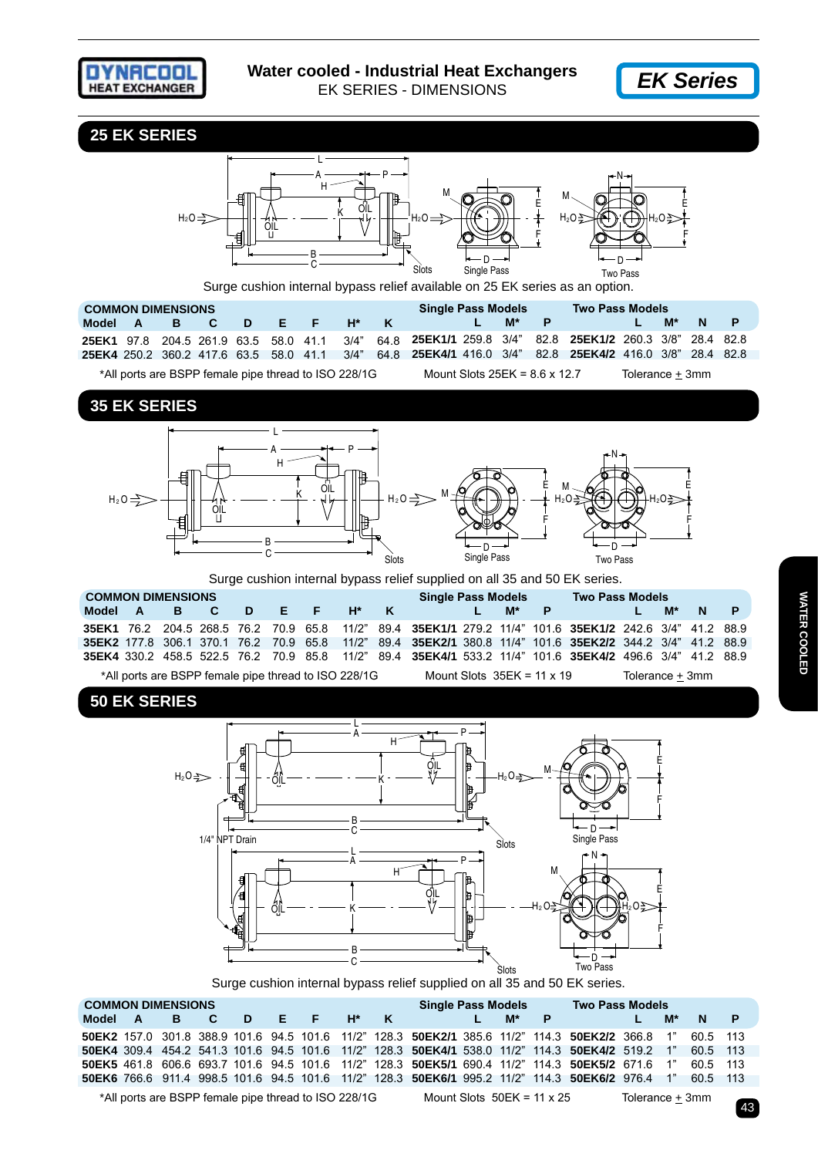



**25 EK SERIES**

 $\sim$  43

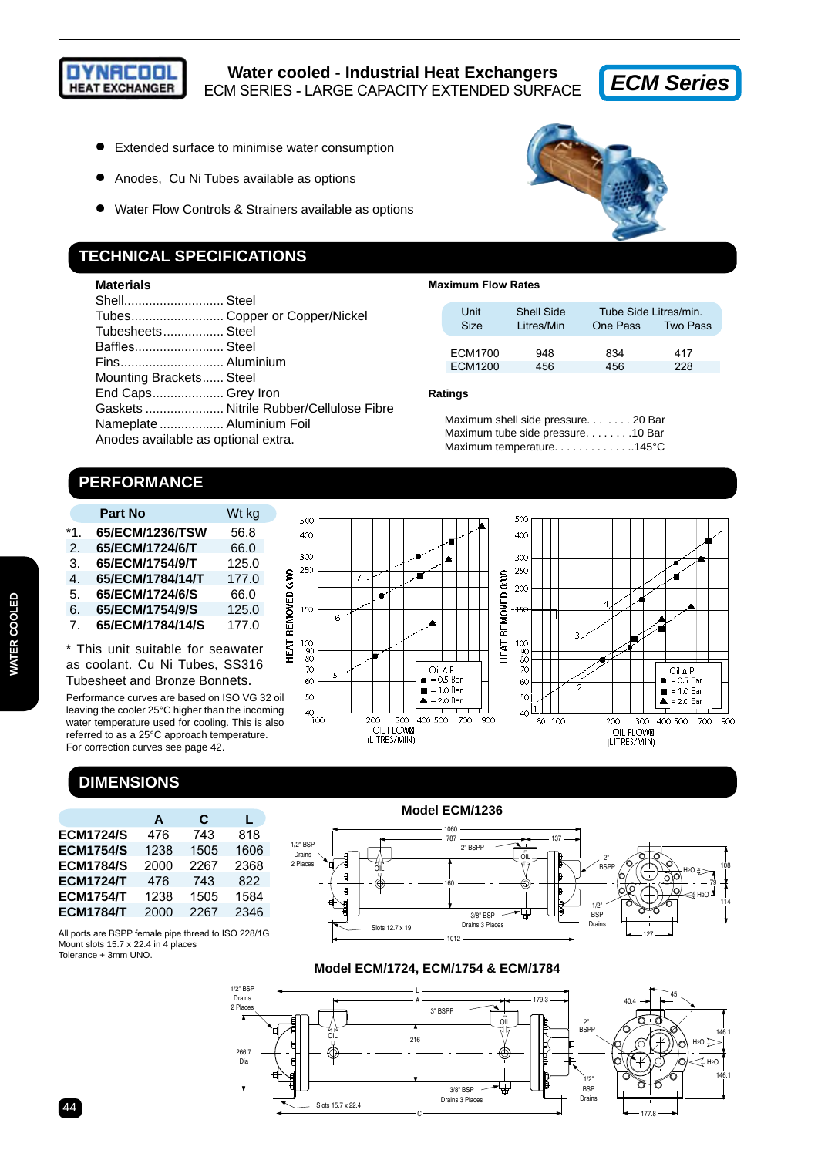

- Extended surface to minimise water consumption
- Anodes, Cu Ni Tubes available as options
- Water Flow Controls & Strainers available as options

## **TECHNICAL SPECIFICATIONS**

## **Materials**

| Shell Steel                         |                               |
|-------------------------------------|-------------------------------|
|                                     | Tubes Copper or Copper/Nickel |
| Tubesheets Steel                    |                               |
| Baffles Steel                       |                               |
| Fins Aluminium                      |                               |
| Mounting Brackets Steel             |                               |
| End Caps Grey Iron                  |                               |
|                                     |                               |
| Nameplate  Aluminium Foil           |                               |
| Anodes available as optional extra. |                               |
|                                     |                               |



#### **Maximum Flow Rates**

| Unit<br>Size   | Shell Side<br>Litres/Min | Tube Side Litres/min.<br>One Pass | <b>Two Pass</b> |
|----------------|--------------------------|-----------------------------------|-----------------|
| <b>ECM1700</b> | 948                      | 834                               | 417             |
| FCM1200        | 456                      | 456                               | 228             |

#### **Ratings**

Maximum shell side pressure. . . . . . . 20 Bar Maximum tube side pressure. . . . . . . .10 Bar Maximum temperature. . . . . . . . . . . . . . 145°C

# **PERFORMANCE**

|     | <b>Part No</b>   | Wt kg |
|-----|------------------|-------|
| *1. | 65/ECM/1236/TSW  | 56.8  |
| 2.  | 65/ECM/1724/6/T  | 66.0  |
| 3.  | 65/ECM/1754/9/T  | 125.0 |
| 4.  | 65/ECM/1784/14/T | 177.0 |
| 5.  | 65/ECM/1724/6/S  | 66.0  |
| 6.  | 65/ECM/1754/9/S  | 125.0 |
| 7.  | 65/ECM/1784/14/S | 177.0 |

\* This unit suitable for seawater as coolant. Cu Ni Tubes, SS316

Tubesheet and Bronze Bonnets.

Performance curves are based on ISO VG 32 oil leaving the cooler 25°C higher than the incoming water temperature used for cooling. This is also referred to as a 25°C approach temperature. For correction curves see page 42.

# **DIMENSIONS**

Mount slots 15.7 x 22.4 in 4 places Tolerance  $\pm$  3mm UNO.

|                  | A    | C    | L    |
|------------------|------|------|------|
| <b>ECM1724/S</b> | 476  | 743  | 818  |
| <b>ECM1754/S</b> | 1238 | 1505 | 1606 |
| <b>ECM1784/S</b> | 2000 | 2267 | 2368 |
| <b>ECM1724/T</b> | 476  | 743  | 822  |
| <b>ECM1754/T</b> | 1238 | 1505 | 1584 |
| <b>ECM1784/T</b> | 2000 | 2267 | 2346 |

All ports are BSPP female pipe thread to ISO 228/1G



## **Model ECM/1236**



#### **Model ECM/1724, ECM/1754 & ECM/1784**



# 44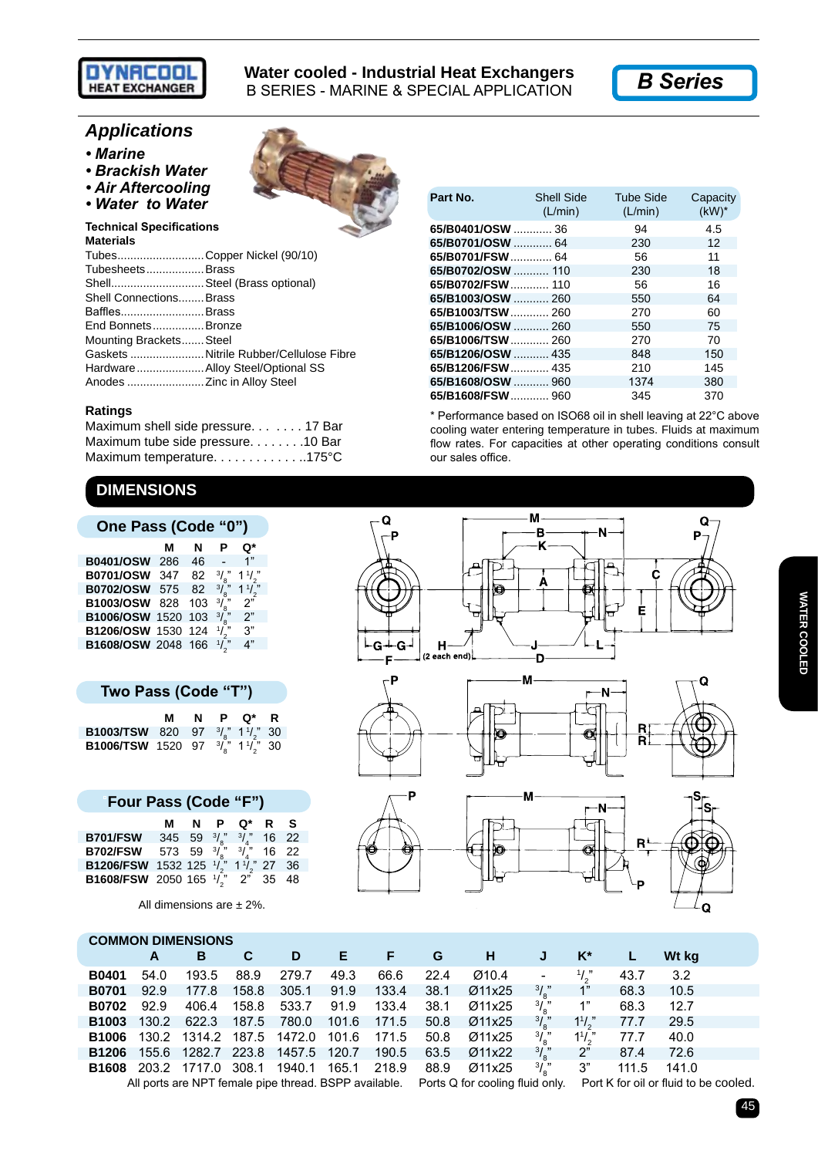

## **Water cooled - Industrial Heat Exchangers** B SERIES - MARINE & SPECIAL APPLICATION

*B Series*

# *Applications*

- *Marine*
- *Brackish Water*
- *Air Aftercooling*
- Water to Water

**Technical Specifications Materials**

| TubesCopper Nickel (90/10)   |                                        |
|------------------------------|----------------------------------------|
| TubesheetsBrass              |                                        |
| Shell Steel (Brass optional) |                                        |
| Shell Connections Brass      |                                        |
| BafflesBrass                 |                                        |
| End BonnetsBronze            |                                        |
| Mounting Brackets Steel      |                                        |
|                              | Gaskets Nitrile Rubber/Cellulose Fibre |
|                              | Hardware Alloy Steel/Optional SS       |
| Anodes  Zinc in Alloy Steel  |                                        |

#### **Ratings**

| Maximum shell side pressure. 17 Bar |  |
|-------------------------------------|--|
| Maximum tube side pressure. 10 Bar  |  |
| Maximum temperature. 175°C          |  |

# **DIMENSIONS**

|                    | м   | N   |               | Q*                |
|--------------------|-----|-----|---------------|-------------------|
| <b>B0401/OSW</b>   | 286 | 46  |               | 1"                |
| <b>B0701/OSW</b>   | 347 | 82  | $\frac{3}{2}$ | $1^{\frac{1}{2}}$ |
| B0702/OSW 575      |     | 82  | 3/            | $1\frac{1}{2}$    |
| B1003/OSW 828      |     | 103 | $3/$ "        | 2"                |
| B1006/OSW 1520 103 |     |     | $\frac{3}{s}$ | 2"                |
| B1206/OSW 1530 124 |     |     | $\frac{1}{2}$ | 3"                |
| B1608/OSW 2048 166 |     |     |               |                   |

| Two Pass (Code "T")                                                                                                                                                           |  |  |  |            |  |  |
|-------------------------------------------------------------------------------------------------------------------------------------------------------------------------------|--|--|--|------------|--|--|
|                                                                                                                                                                               |  |  |  | M N P Q* R |  |  |
|                                                                                                                                                                               |  |  |  |            |  |  |
| <b>B1003/TSW</b> 820 97 <sup>3</sup> / <sub>8</sub> 1 <sup>1</sup> / <sub>2</sub> 30<br><b>B1006/TSW</b> 1520 97 <sup>3</sup> / <sub>8</sub> 1 <sup>1</sup> / <sub>2</sub> 30 |  |  |  |            |  |  |

| Four Pass (Code "F")                                          |  |  |  |              |  |  |  |  |  |
|---------------------------------------------------------------|--|--|--|--------------|--|--|--|--|--|
|                                                               |  |  |  | M N P Q* R S |  |  |  |  |  |
| <b>B701/FSW</b> 345 59 $\frac{3}{8}$ $\frac{3}{4}$ 16 22      |  |  |  |              |  |  |  |  |  |
| <b>B702/FSW</b> 573 59 $3\chi^2$ $3\chi^2$ 16 22              |  |  |  |              |  |  |  |  |  |
| <b>B1206/FSW</b> 1532 125 $\frac{1}{2}$ 1 $\frac{1}{2}$ 27 36 |  |  |  |              |  |  |  |  |  |
| <b>B1608/FSW</b> 2050 165 $\sqrt{2}$ 2" 35 48                 |  |  |  |              |  |  |  |  |  |

All dimensions are  $\pm$  2%.

| Part No.          | Shell Side<br>(L/min) | Tube Side<br>(L/min) | Capacity<br>$(kW)^*$ |
|-------------------|-----------------------|----------------------|----------------------|
| 65/B0401/OSW  36  |                       | 94                   | 4.5                  |
| 65/B0701/OSW  64  |                       | 230                  | 12                   |
| 65/B0701/FSW  64  |                       | 56                   | 11                   |
| 65/B0702/OSW  110 |                       | 230                  | 18                   |
|                   |                       | 56                   | 16                   |
| 65/B1003/OSW  260 |                       | 550                  | 64                   |
| 65/B1003/TSW 260  |                       | 270                  | 60                   |
| 65/B1006/OSW  260 |                       | 550                  | 75                   |
| 65/B1006/TSW 260  |                       | 270                  | 70                   |
| 65/B1206/OSW  435 |                       | 848                  | 150                  |
|                   |                       | 210                  | 145                  |
| 65/B1608/OSW  960 |                       | 1374                 | 380                  |
| 65/B1608/FSW 960  |                       | 345                  | 370                  |

\* Performance based on ISO68 oil in shell leaving at 22°C above cooling water entering temperature in tubes. Fluids at maximum flow rates. For capacities at other operating conditions consult our sales office.



| <b>COMMON DIMENSIONS</b> |       |              |       |                                 |       |       |      |                                                                                                                             |                          |       |       |       |  |
|--------------------------|-------|--------------|-------|---------------------------------|-------|-------|------|-----------------------------------------------------------------------------------------------------------------------------|--------------------------|-------|-------|-------|--|
|                          | A     | В            | C     | D                               | Е     | F     | G    | н                                                                                                                           | J                        | $K^*$ |       | Wt kg |  |
| <b>B0401</b>             | 54.0  | 193.5        | 88.9  | 279.7                           | 49.3  | 66.6  | 22.4 | Ø10.4                                                                                                                       | $\overline{\phantom{a}}$ |       | 43.7  | 3.2   |  |
| <b>B0701</b>             | 92.9  | 177.8        | 158.8 | 305.1                           | 91.9  | 133.4 | 38.1 | Ø11x25                                                                                                                      | $\frac{3}{2}$            | 1"    | 68.3  | 10.5  |  |
| <b>B0702</b>             | 92.9  | 406.4        | 158.8 | 533.7                           | 91.9  | 133.4 | 38.1 | Ø11x25                                                                                                                      | $\frac{3}{2}$            | 1"    | 68.3  | 12.7  |  |
| <b>B1003</b>             | 130.2 | 622.3        | 187.5 | 780.0                           | 101.6 | 171.5 | 50.8 | Ø11x25                                                                                                                      | $\frac{3}{\epsilon}$ "   | 11/   | 77.7  | 29.5  |  |
| <b>B1006</b>             |       |              |       | 130.2 1314.2 187.5 1472.0       | 101.6 | 171.5 | 50.8 | Ø11x25                                                                                                                      | $\frac{3}{2}$            | 11/   | 77.7  | 40.0  |  |
| <b>B1206</b>             |       |              |       | 155.6 1282.7 223.8 1457.5 120.7 |       | 190.5 | 63.5 | Ø11x22                                                                                                                      | $\frac{3}{\cdot}$        | 2"    | 87.4  | 72.6  |  |
| <b>B1608</b>             |       | 203.2 1717.0 |       | 308.1 1940.1                    | 165.1 | 218.9 | 88.9 | Ø11x25                                                                                                                      | $\frac{3}{\epsilon}$     | 3"    | 111.5 | 141.0 |  |
|                          |       |              |       |                                 |       |       |      | All ports are NPT female pipe thread. BSPP available. Ports Q for cooling fluid only. Port K for oil or fluid to be cooled. |                          |       |       |       |  |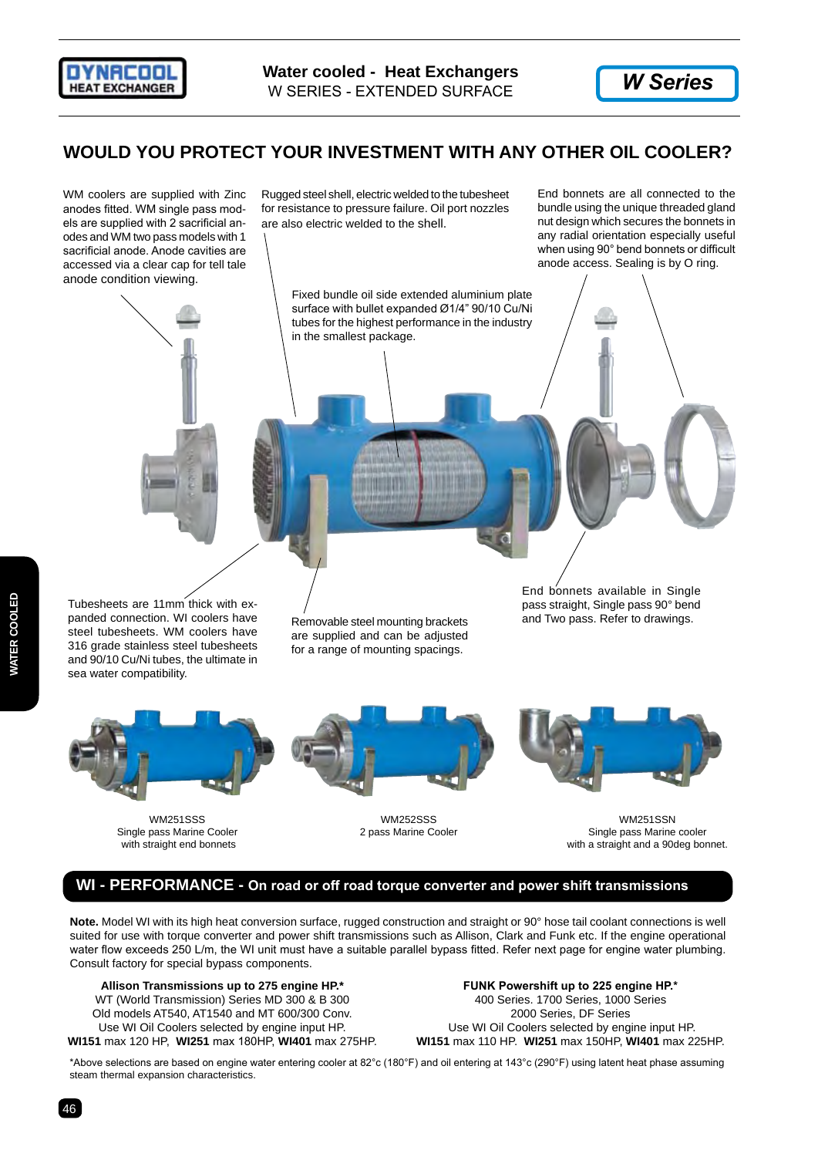



## **WOULD YOU PROTECT YOUR INVESTMENT WITH ANY OTHER OIL COOLER?**

WM coolers are supplied with Zinc anodes fitted. WM single pass models are supplied with 2 sacrificial anodes and WM two pass models with 1 sacrificial anode. Anode cavities are accessed via a clear cap for tell tale anode condition viewing.

Rugged steel shell, electric welded to the tubesheet for resistance to pressure failure. Oil port nozzles are also electric welded to the shell.

End bonnets are all connected to the bundle using the unique threaded gland nut design which secures the bonnets in any radial orientation especially useful when using 90° bend bonnets or difficult anode access. Sealing is by O ring.





and 90/10 Cu/Ni tubes, the ultimate in

sea water compatibility.

for a range of mounting spacings.







WM251SSS WM252SSS WM251SSN Single pass Marine Cooler 2 pass Marine Cooler 2 pass Marine Cooler Single pass Marine cooler vith straight and a 90deg bor<br>
with straight and a 90deg bor with a straight and a 90deg bonnet.

## **WI - PERFORMANCE - On road or off road torque converter and power shift transmissions**

**Note.** Model WI with its high heat conversion surface, rugged construction and straight or 90° hose tail coolant connections is well suited for use with torque converter and power shift transmissions such as Allison, Clark and Funk etc. If the engine operational water flow exceeds 250 L/m, the WI unit must have a suitable parallel bypass fitted. Refer next page for engine water plumbing. Consult factory for special bypass components.

**Allison Transmissions up to 275 engine HP.\*** WT (World Transmission) Series MD 300 & B 300 Old models AT540, AT1540 and MT 600/300 Conv. Use WI Oil Coolers selected by engine input HP. **WI151** max 120 HP, **WI251** max 180HP, **WI401** max 275HP.

**FUNK Powershift up to 225 engine HP.\*** 400 Series. 1700 Series, 1000 Series 2000 Series, DF Series Use WI Oil Coolers selected by engine input HP. **WI151** max 110 HP. **WI251** max 150HP, **WI401** max 225HP.

\*Above selections are based on engine water entering cooler at 82°c (180°F) and oil entering at 143°c (290°F) using latent heat phase assuming steam thermal expansion characteristics.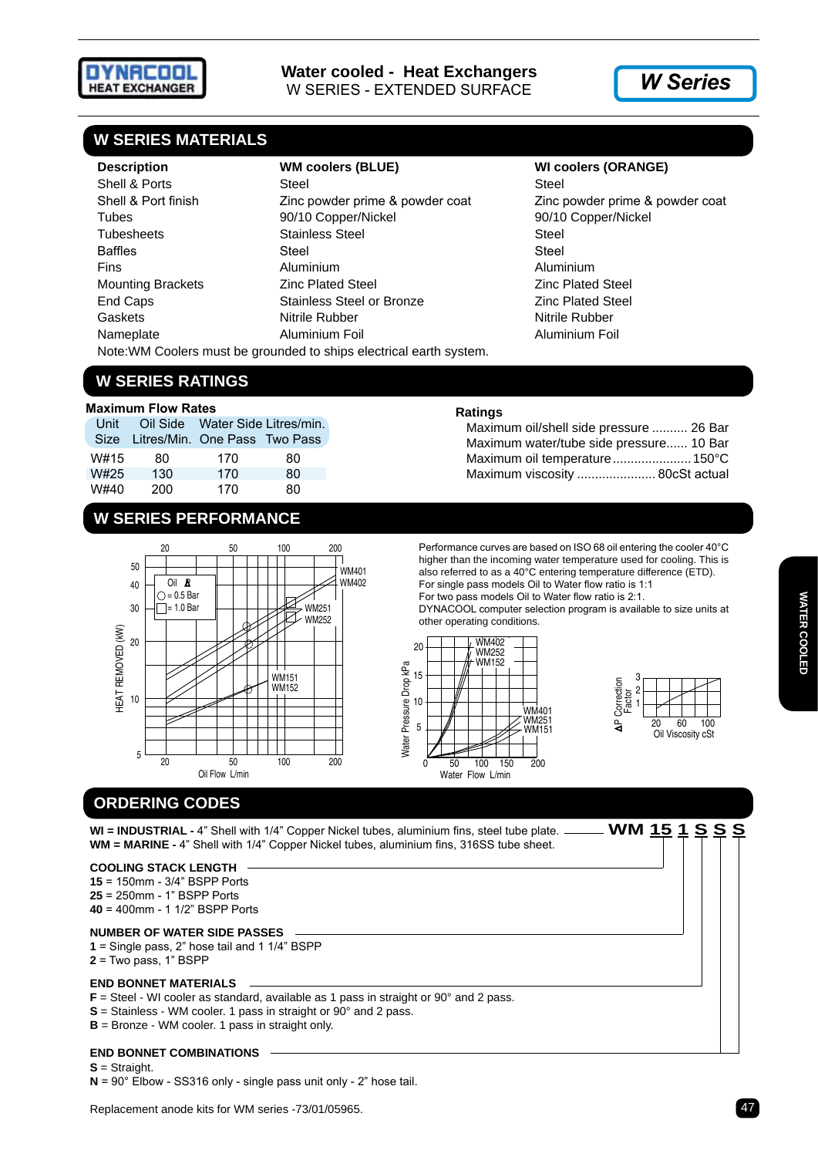

## **W SERIES MATERIALS**

**Description WM coolers (BLUE) WI coolers (ORANGE)** Shell & Ports Steel Steel Steel Steel Steel Steel Steel Steel Steel Steel Steel Steel Steel Steel Steel Steel Steel Steel Steel Steel Steel Steel Steel Steel Steel Steel Steel Steel Steel Steel Steel Steel Steel Steel Stee Shell & Port finish Zinc powder prime & powder coat Zinc powder prime & powder coat Tubes 90/10 Copper/Nickel 90/10 Copper/Nickel Tubesheets Stainless Steel Stainless Steel Steel Steel Steel Steel Steel Steel Steel Steel Steel Steel Steel Steel Steel Steel Steel Steel Steel Steel Steel Steel Steel Steel Steel Steel Steel Steel Steel Steel Steel Steel Baffles Steel Steel Fins Aluminium Aluminium Mounting Brackets Zinc Plated Steel Zinc Plated Steel End Caps **Stainless Steel or Bronze End Caps Zinc Plated Steel** Gaskets **Nitrile Rubber** Nitrile Rubber Nitrile Rubber Nitrile Rubber Nameplate Aluminium Foil Aluminium Foil Note:WM Coolers must be grounded to ships electrical earth system.

## **W SERIES RATINGS**

#### **Maximum Flow Rates**

| Unit |                                    | Oil Side Water Side Litres/min. |    |
|------|------------------------------------|---------------------------------|----|
|      | Size Litres/Min. One Pass Two Pass |                                 |    |
| W#15 | 80                                 | 170                             | 80 |
| W#25 | 130                                | 170                             | 80 |
| W#40 | 200                                | 170                             | 80 |

## **W SERIES PERFORMANCE**



## **Ratings**

| Maximum oil/shell side pressure  26 Bar |  |
|-----------------------------------------|--|
| Maximum water/tube side pressure 10 Bar |  |
| Maximum oil temperature 150°C           |  |
| Maximum viscosity  80cSt actual         |  |

Performance curves are based on ISO 68 oil entering the cooler 40°C higher than the incoming water temperature used for cooling. This is also referred to as a 40°C entering temperature difference (ETD). For single pass models Oil to Water flow ratio is 1:1

For two pass models Oil to Water flow ratio is 2:1. DYNACOOL computer selection program is available to size units at



| 3                    |    |                         |     |
|----------------------|----|-------------------------|-----|
| 2                    |    |                         |     |
|                      |    |                         |     |
| Correction<br>Factor |    |                         |     |
| न<br>ट्र             | 20 | 60<br>Oil Viscosity cSt | 100 |
|                      |    |                         |     |

# **ORDERING CODES**

**WI = INDUSTRIAL -** 4" Shell with 1/4" Copper Nickel tubes, aluminium fins, steel tube plate. **WM 15 1 S S S WM = MARINE -** 4" Shell with 1/4" Copper Nickel tubes, aluminium fins, 316SS tube sheet.

#### **COOLING STACK LENGTH**

**15** = 150mm - 3/4" BSPP Ports **25** = 250mm - 1" BSPP Ports **40** = 400mm - 1 1/2" BSPP Ports

#### **NUMBER OF WATER SIDE PASSES**

**1** = Single pass, 2" hose tail and 1 1/4" BSPP

## **2** = Two pass, 1" BSPP

#### **END BONNET MATERIALS**

**F** = Steel - WI cooler as standard, available as 1 pass in straight or 90° and 2 pass.

- **S** = Stainless WM cooler. 1 pass in straight or 90° and 2 pass.
- **B** = Bronze WM cooler. 1 pass in straight only.

#### **END BONNET COMBINATIONS**

**S** = Straight.

**N** = 90° Elbow - SS316 only - single pass unit only - 2" hose tail.

Replacement anode kits for WM series -73/01/05965.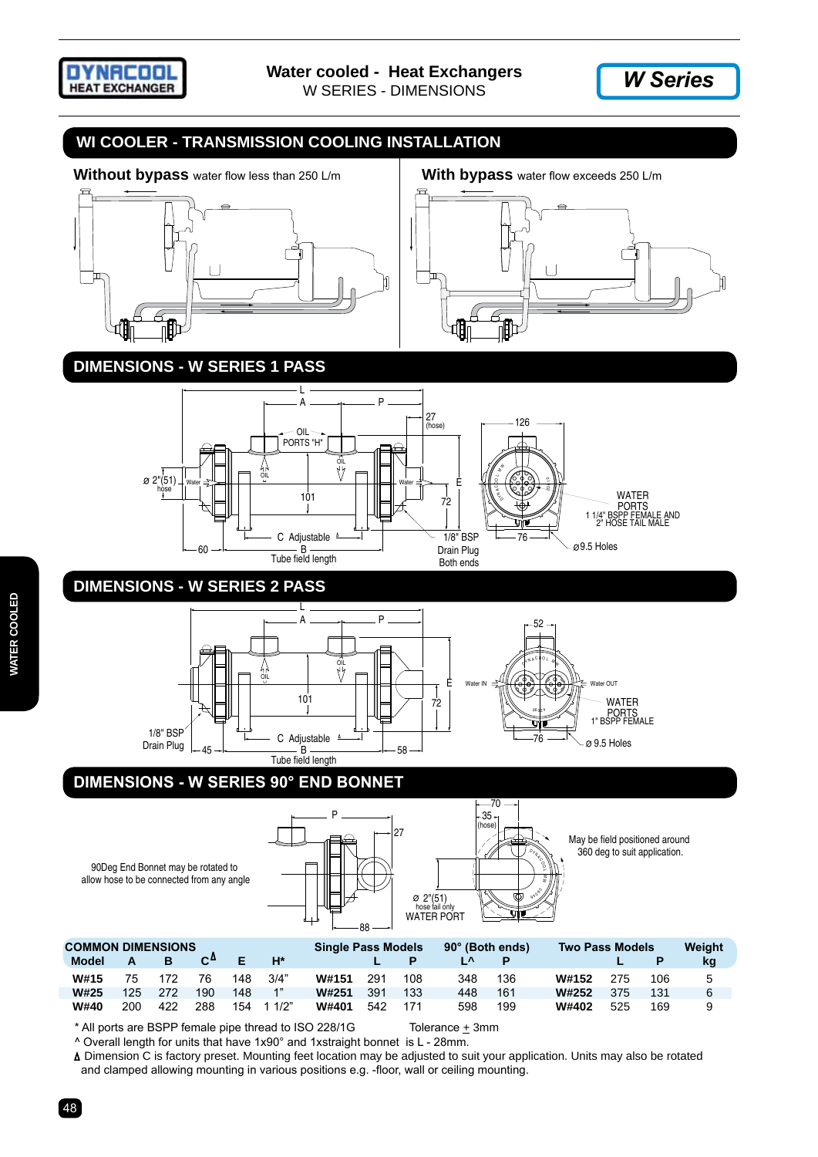



## **WI COOLER - TRANSMISSION COOLING INSTALLATION**



## **DIMENSIONS - W Series 1 Pass**







# **DIMENSIONS - W Series 2 Pass**



## **DIMENSIONS - W Series 90° End bonnet**



May be field positioned around 360 deg to suit application.

| <b>COMMON DIMENSIONS</b><br><b>Model</b> | А   |     | C۳  |     | $H^*$ | <b>Single Pass Models</b> |     |     | 90° (Both ends)<br>╹ |     | <b>Two Pass Models</b> |     |     | Weight<br>kg |
|------------------------------------------|-----|-----|-----|-----|-------|---------------------------|-----|-----|----------------------|-----|------------------------|-----|-----|--------------|
| W#15                                     | 75  | 172 | 76  | 148 | 3/4"  | W#151                     | 291 | 108 | 348                  | 136 | W#152                  | 275 | 106 | 5            |
| W#25                                     | 125 | 272 | 190 | 148 | 1"    | W#251                     | 391 | 133 | 448                  | 161 | W#252                  | 375 | 131 | 6            |
| <b>W#40</b>                              | 200 | 422 | 288 | 154 | 11/2" | W#401                     | 542 |     | 598                  | 199 | W#402                  | 525 | 169 |              |

 $*$  All ports are BSPP female pipe thread to ISO 228/1G Tolerance  $\pm$  3mm

90Deg End Bonnet may be rotated to allow hose to be connected from any angle

 ^ Overall length for units that have 1x90° and 1xstraight bonnet is L - 28mm. Dimension C is factory preset. Mounting feet location may be adjusted to suit your application. Units may also be rotated and clamped allowing mounting in various positions e.g. -floor, wall or ceiling mounting.